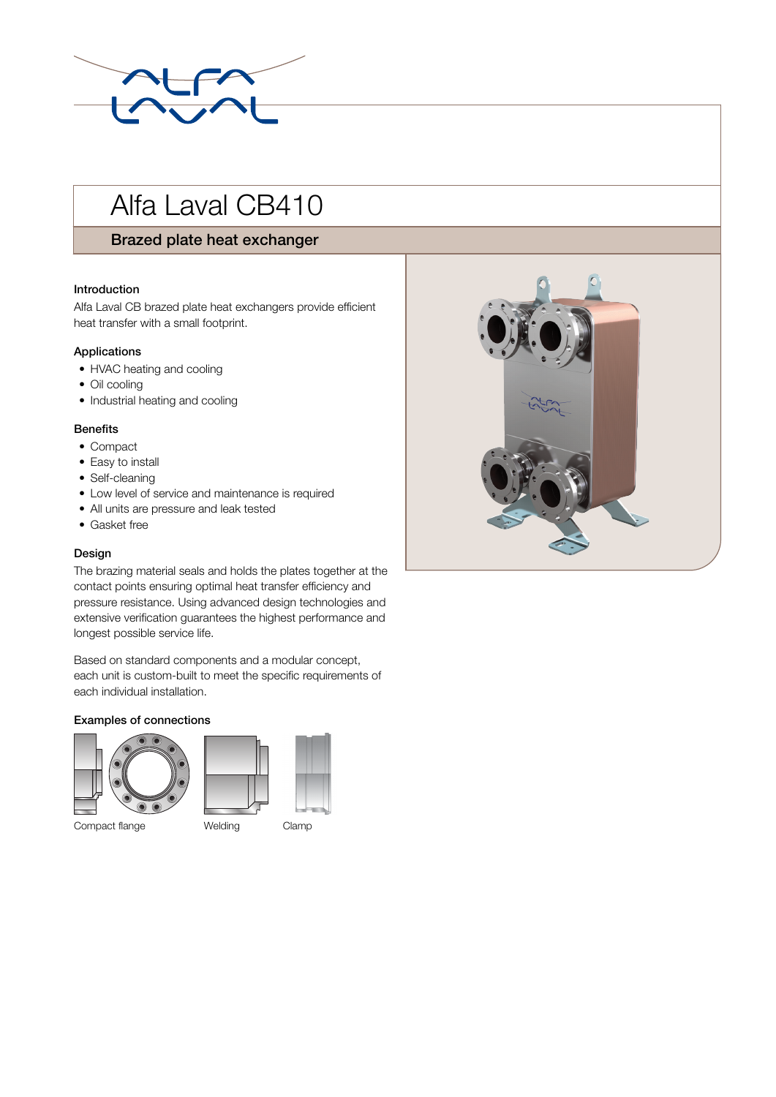

# Alfa Laval CB410

# Brazed plate heat exchanger

## Introduction

Alfa Laval CB brazed plate heat exchangers provide efficient heat transfer with a small footprint.

# Applications

- HVAC heating and cooling
- Oil cooling
- Industrial heating and cooling

# Benefits

- Compact
- Easy to install
- Self-cleaning
- Low level of service and maintenance is required
- All units are pressure and leak tested
- Gasket free

# Design

The brazing material seals and holds the plates together at the contact points ensuring optimal heat transfer efficiency and pressure resistance. Using advanced design technologies and extensive verification guarantees the highest performance and longest possible service life.

Based on standard components and a modular concept, each unit is custom-built to meet the specific requirements of each individual installation.

# Examples of connections



Compact flange Welding Clamp